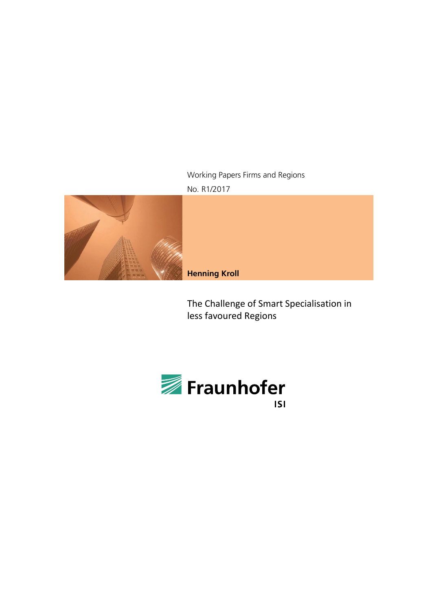### Working Papers Firms and Regions No. R1/2017



**Henning Kroll**

The Challenge of Smart Specialisation in less favoured Regions

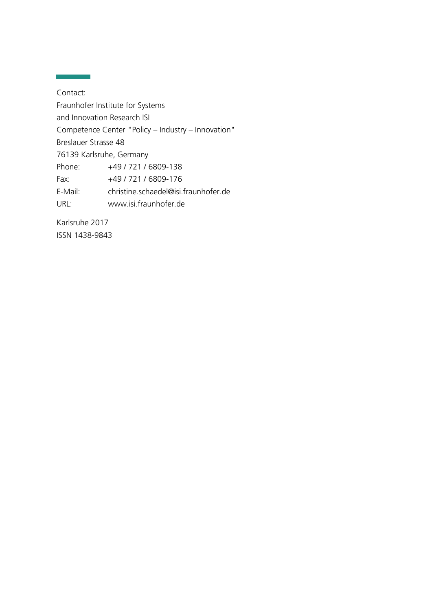Contact: Fraunhofer Institute for Systems and Innovation Research ISI Competence Center "Policy – Industry – Innovation" Breslauer Strasse 48 76139 Karlsruhe, Germany Phone: +49 / 721 / 6809-138 Fax: +49 / 721 / 6809-176 E-Mail: christine.schaedel@isi.fraunhofer.de URL: www.isi.fraunhofer.de

Karlsruhe 2017 ISSN 1438-9843

ī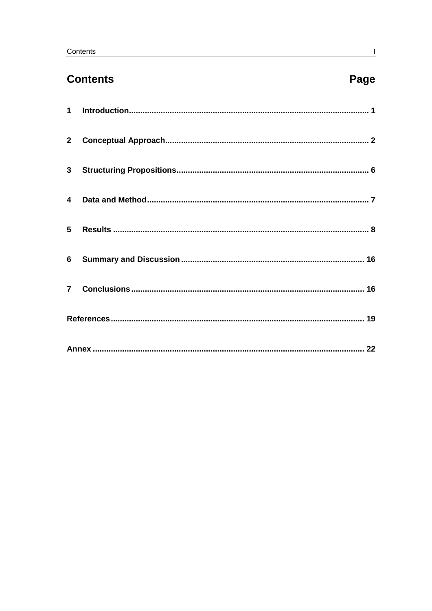# **Contents**

# Page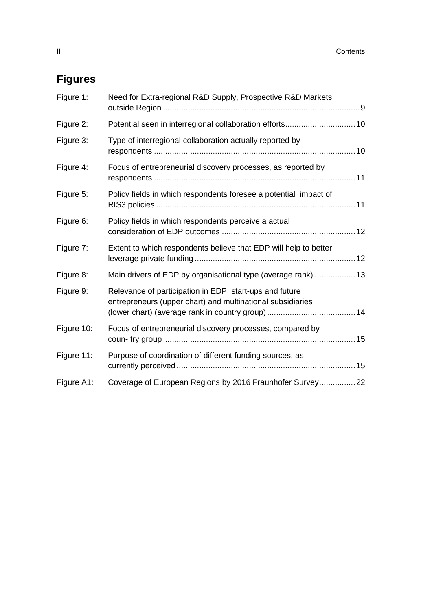# **Figures**

| Figure 1:  | Need for Extra-regional R&D Supply, Prospective R&D Markets                                                           |  |
|------------|-----------------------------------------------------------------------------------------------------------------------|--|
| Figure 2:  |                                                                                                                       |  |
| Figure 3:  | Type of interregional collaboration actually reported by                                                              |  |
| Figure 4:  | Focus of entrepreneurial discovery processes, as reported by                                                          |  |
| Figure 5:  | Policy fields in which respondents foresee a potential impact of                                                      |  |
| Figure 6:  | Policy fields in which respondents perceive a actual                                                                  |  |
| Figure 7:  | Extent to which respondents believe that EDP will help to better                                                      |  |
| Figure 8:  | Main drivers of EDP by organisational type (average rank)  13                                                         |  |
| Figure 9:  | Relevance of participation in EDP: start-ups and future<br>entrepreneurs (upper chart) and multinational subsidiaries |  |
| Figure 10: | Focus of entrepreneurial discovery processes, compared by                                                             |  |
| Figure 11: | Purpose of coordination of different funding sources, as                                                              |  |
| Figure A1: | Coverage of European Regions by 2016 Fraunhofer Survey 22                                                             |  |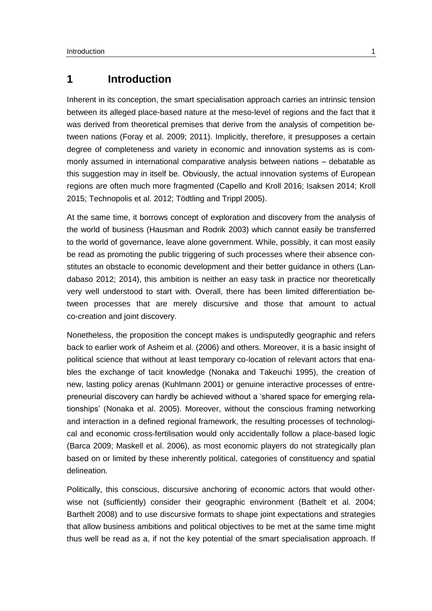## <span id="page-4-0"></span>**1 Introduction**

Inherent in its conception, the smart specialisation approach carries an intrinsic tension between its alleged place-based nature at the meso-level of regions and the fact that it was derived from theoretical premises that derive from the analysis of competition between nations (Foray et al. 2009; 2011). Implicitly, therefore, it presupposes a certain degree of completeness and variety in economic and innovation systems as is commonly assumed in international comparative analysis between nations – debatable as this suggestion may in itself be. Obviously, the actual innovation systems of European regions are often much more fragmented (Capello and Kroll 2016; Isaksen 2014; Kroll 2015; Technopolis et al. 2012; Tödtling and Trippl 2005).

At the same time, it borrows concept of exploration and discovery from the analysis of the world of business (Hausman and Rodrik 2003) which cannot easily be transferred to the world of governance, leave alone government. While, possibly, it can most easily be read as promoting the public triggering of such processes where their absence constitutes an obstacle to economic development and their better guidance in others (Landabaso 2012; 2014), this ambition is neither an easy task in practice nor theoretically very well understood to start with. Overall, there has been limited differentiation between processes that are merely discursive and those that amount to actual co-creation and joint discovery.

Nonetheless, the proposition the concept makes is undisputedly geographic and refers back to earlier work of Asheim et al. (2006) and others. Moreover, it is a basic insight of political science that without at least temporary co-location of relevant actors that enables the exchange of tacit knowledge (Nonaka and Takeuchi 1995), the creation of new, lasting policy arenas (Kuhlmann 2001) or genuine interactive processes of entrepreneurial discovery can hardly be achieved without a 'shared space for emerging relationships' (Nonaka et al. 2005). Moreover, without the conscious framing networking and interaction in a defined regional framework, the resulting processes of technological and economic cross-fertilisation would only accidentally follow a place-based logic (Barca 2009; Maskell et al. 2006), as most economic players do not strategically plan based on or limited by these inherently political, categories of constituency and spatial delineation.

Politically, this conscious, discursive anchoring of economic actors that would otherwise not (sufficiently) consider their geographic environment (Bathelt et al. 2004; Barthelt 2008) and to use discursive formats to shape joint expectations and strategies that allow business ambitions and political objectives to be met at the same time might thus well be read as a, if not the key potential of the smart specialisation approach. If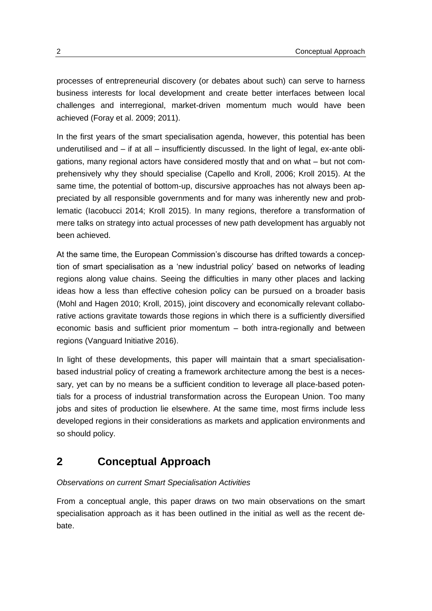processes of entrepreneurial discovery (or debates about such) can serve to harness business interests for local development and create better interfaces between local challenges and interregional, market-driven momentum much would have been achieved (Foray et al. 2009; 2011).

In the first years of the smart specialisation agenda, however, this potential has been underutilised and – if at all – insufficiently discussed. In the light of legal, ex-ante obligations, many regional actors have considered mostly that and on what – but not comprehensively why they should specialise (Capello and Kroll, 2006; Kroll 2015). At the same time, the potential of bottom-up, discursive approaches has not always been appreciated by all responsible governments and for many was inherently new and problematic (Iacobucci 2014; Kroll 2015). In many regions, therefore a transformation of mere talks on strategy into actual processes of new path development has arguably not been achieved.

At the same time, the European Commission's discourse has drifted towards a conception of smart specialisation as a 'new industrial policy' based on networks of leading regions along value chains. Seeing the difficulties in many other places and lacking ideas how a less than effective cohesion policy can be pursued on a broader basis (Mohl and Hagen 2010; Kroll, 2015), joint discovery and economically relevant collaborative actions gravitate towards those regions in which there is a sufficiently diversified economic basis and sufficient prior momentum – both intra-regionally and between regions (Vanguard Initiative 2016).

In light of these developments, this paper will maintain that a smart specialisationbased industrial policy of creating a framework architecture among the best is a necessary, yet can by no means be a sufficient condition to leverage all place-based potentials for a process of industrial transformation across the European Union. Too many jobs and sites of production lie elsewhere. At the same time, most firms include less developed regions in their considerations as markets and application environments and so should policy.

## <span id="page-5-0"></span>**2 Conceptual Approach**

### *Observations on current Smart Specialisation Activities*

From a conceptual angle, this paper draws on two main observations on the smart specialisation approach as it has been outlined in the initial as well as the recent debate.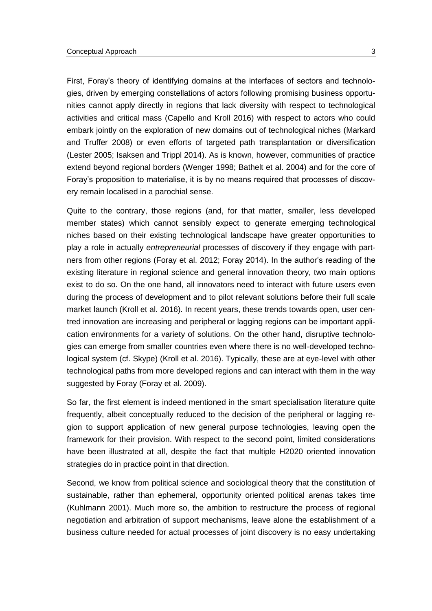First, Foray's theory of identifying domains at the interfaces of sectors and technologies, driven by emerging constellations of actors following promising business opportunities cannot apply directly in regions that lack diversity with respect to technological activities and critical mass (Capello and Kroll 2016) with respect to actors who could embark jointly on the exploration of new domains out of technological niches (Markard and Truffer 2008) or even efforts of targeted path transplantation or diversification (Lester 2005; Isaksen and Trippl 2014). As is known, however, communities of practice extend beyond regional borders (Wenger 1998; Bathelt et al. 2004) and for the core of Foray's proposition to materialise, it is by no means required that processes of discovery remain localised in a parochial sense.

Quite to the contrary, those regions (and, for that matter, smaller, less developed member states) which cannot sensibly expect to generate emerging technological niches based on their existing technological landscape have greater opportunities to play a role in actually *entrepreneurial* processes of discovery if they engage with partners from other regions (Foray et al. 2012; Foray 2014). In the author's reading of the existing literature in regional science and general innovation theory, two main options exist to do so. On the one hand, all innovators need to interact with future users even during the process of development and to pilot relevant solutions before their full scale market launch (Kroll et al. 2016). In recent years, these trends towards open, user centred innovation are increasing and peripheral or lagging regions can be important application environments for a variety of solutions. On the other hand, disruptive technologies can emerge from smaller countries even where there is no well-developed technological system (cf. Skype) (Kroll et al. 2016). Typically, these are at eye-level with other technological paths from more developed regions and can interact with them in the way suggested by Foray (Foray et al. 2009).

So far, the first element is indeed mentioned in the smart specialisation literature quite frequently, albeit conceptually reduced to the decision of the peripheral or lagging region to support application of new general purpose technologies, leaving open the framework for their provision. With respect to the second point, limited considerations have been illustrated at all, despite the fact that multiple H2020 oriented innovation strategies do in practice point in that direction.

Second, we know from political science and sociological theory that the constitution of sustainable, rather than ephemeral, opportunity oriented political arenas takes time (Kuhlmann 2001). Much more so, the ambition to restructure the process of regional negotiation and arbitration of support mechanisms, leave alone the establishment of a business culture needed for actual processes of joint discovery is no easy undertaking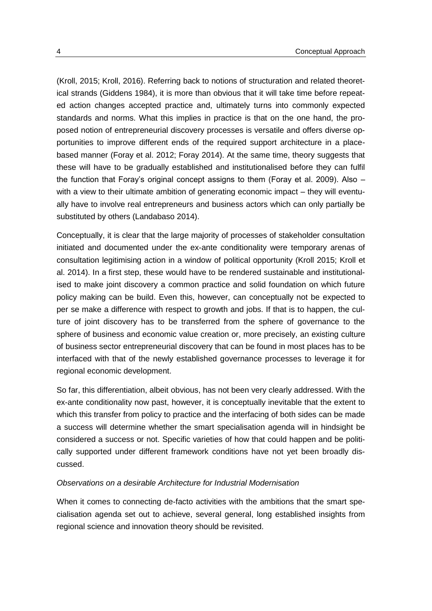(Kroll, 2015; Kroll, 2016). Referring back to notions of structuration and related theoretical strands (Giddens 1984), it is more than obvious that it will take time before repeated action changes accepted practice and, ultimately turns into commonly expected standards and norms. What this implies in practice is that on the one hand, the proposed notion of entrepreneurial discovery processes is versatile and offers diverse opportunities to improve different ends of the required support architecture in a placebased manner (Foray et al. 2012; Foray 2014). At the same time, theory suggests that these will have to be gradually established and institutionalised before they can fulfil the function that Foray's original concept assigns to them (Foray et al. 2009). Also – with a view to their ultimate ambition of generating economic impact – they will eventually have to involve real entrepreneurs and business actors which can only partially be substituted by others (Landabaso 2014).

Conceptually, it is clear that the large majority of processes of stakeholder consultation initiated and documented under the ex-ante conditionality were temporary arenas of consultation legitimising action in a window of political opportunity (Kroll 2015; Kroll et al. 2014). In a first step, these would have to be rendered sustainable and institutionalised to make joint discovery a common practice and solid foundation on which future policy making can be build. Even this, however, can conceptually not be expected to per se make a difference with respect to growth and jobs. If that is to happen, the culture of joint discovery has to be transferred from the sphere of governance to the sphere of business and economic value creation or, more precisely, an existing culture of business sector entrepreneurial discovery that can be found in most places has to be interfaced with that of the newly established governance processes to leverage it for regional economic development.

So far, this differentiation, albeit obvious, has not been very clearly addressed. With the ex-ante conditionality now past, however, it is conceptually inevitable that the extent to which this transfer from policy to practice and the interfacing of both sides can be made a success will determine whether the smart specialisation agenda will in hindsight be considered a success or not. Specific varieties of how that could happen and be politically supported under different framework conditions have not yet been broadly discussed.

#### *Observations on a desirable Architecture for Industrial Modernisation*

When it comes to connecting de-facto activities with the ambitions that the smart specialisation agenda set out to achieve, several general, long established insights from regional science and innovation theory should be revisited.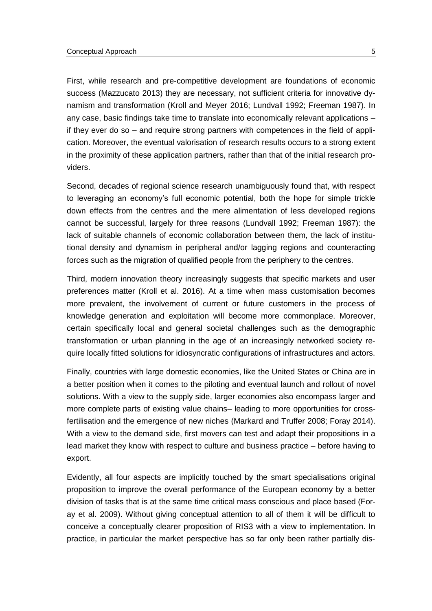First, while research and pre-competitive development are foundations of economic success (Mazzucato 2013) they are necessary, not sufficient criteria for innovative dynamism and transformation (Kroll and Meyer 2016; Lundvall 1992; Freeman 1987). In any case, basic findings take time to translate into economically relevant applications – if they ever do so – and require strong partners with competences in the field of application. Moreover, the eventual valorisation of research results occurs to a strong extent in the proximity of these application partners, rather than that of the initial research providers.

Second, decades of regional science research unambiguously found that, with respect to leveraging an economy's full economic potential, both the hope for simple trickle down effects from the centres and the mere alimentation of less developed regions cannot be successful, largely for three reasons (Lundvall 1992; Freeman 1987): the lack of suitable channels of economic collaboration between them, the lack of institutional density and dynamism in peripheral and/or lagging regions and counteracting forces such as the migration of qualified people from the periphery to the centres.

Third, modern innovation theory increasingly suggests that specific markets and user preferences matter (Kroll et al. 2016). At a time when mass customisation becomes more prevalent, the involvement of current or future customers in the process of knowledge generation and exploitation will become more commonplace. Moreover, certain specifically local and general societal challenges such as the demographic transformation or urban planning in the age of an increasingly networked society require locally fitted solutions for idiosyncratic configurations of infrastructures and actors.

Finally, countries with large domestic economies, like the United States or China are in a better position when it comes to the piloting and eventual launch and rollout of novel solutions. With a view to the supply side, larger economies also encompass larger and more complete parts of existing value chains– leading to more opportunities for crossfertilisation and the emergence of new niches (Markard and Truffer 2008; Foray 2014). With a view to the demand side, first movers can test and adapt their propositions in a lead market they know with respect to culture and business practice – before having to export.

Evidently, all four aspects are implicitly touched by the smart specialisations original proposition to improve the overall performance of the European economy by a better division of tasks that is at the same time critical mass conscious and place based (Foray et al. 2009). Without giving conceptual attention to all of them it will be difficult to conceive a conceptually clearer proposition of RIS3 with a view to implementation. In practice, in particular the market perspective has so far only been rather partially dis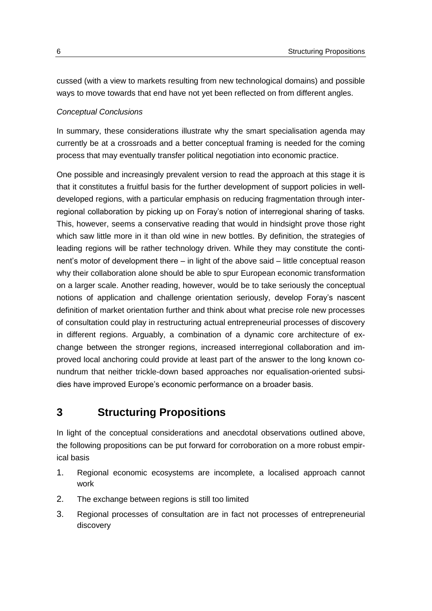cussed (with a view to markets resulting from new technological domains) and possible ways to move towards that end have not yet been reflected on from different angles.

#### *Conceptual Conclusions*

In summary, these considerations illustrate why the smart specialisation agenda may currently be at a crossroads and a better conceptual framing is needed for the coming process that may eventually transfer political negotiation into economic practice.

One possible and increasingly prevalent version to read the approach at this stage it is that it constitutes a fruitful basis for the further development of support policies in welldeveloped regions, with a particular emphasis on reducing fragmentation through interregional collaboration by picking up on Foray's notion of interregional sharing of tasks. This, however, seems a conservative reading that would in hindsight prove those right which saw little more in it than old wine in new bottles. By definition, the strategies of leading regions will be rather technology driven. While they may constitute the continent's motor of development there – in light of the above said – little conceptual reason why their collaboration alone should be able to spur European economic transformation on a larger scale. Another reading, however, would be to take seriously the conceptual notions of application and challenge orientation seriously, develop Foray's nascent definition of market orientation further and think about what precise role new processes of consultation could play in restructuring actual entrepreneurial processes of discovery in different regions. Arguably, a combination of a dynamic core architecture of exchange between the stronger regions, increased interregional collaboration and improved local anchoring could provide at least part of the answer to the long known conundrum that neither trickle-down based approaches nor equalisation-oriented subsidies have improved Europe's economic performance on a broader basis.

### <span id="page-9-0"></span>**3 Structuring Propositions**

In light of the conceptual considerations and anecdotal observations outlined above, the following propositions can be put forward for corroboration on a more robust empirical basis

- 1. Regional economic ecosystems are incomplete, a localised approach cannot work
- 2. The exchange between regions is still too limited
- 3. Regional processes of consultation are in fact not processes of entrepreneurial discovery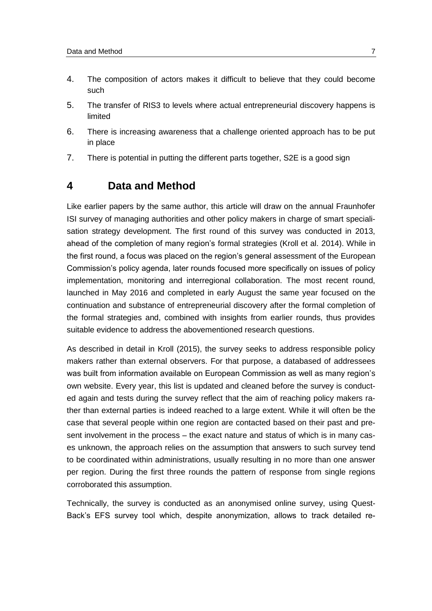- 4. The composition of actors makes it difficult to believe that they could become such
- 5. The transfer of RIS3 to levels where actual entrepreneurial discovery happens is limited
- 6. There is increasing awareness that a challenge oriented approach has to be put in place
- <span id="page-10-0"></span>7. There is potential in putting the different parts together, S2E is a good sign

### **4 Data and Method**

Like earlier papers by the same author, this article will draw on the annual Fraunhofer ISI survey of managing authorities and other policy makers in charge of smart specialisation strategy development. The first round of this survey was conducted in 2013, ahead of the completion of many region's formal strategies (Kroll et al. 2014). While in the first round, a focus was placed on the region's general assessment of the European Commission's policy agenda, later rounds focused more specifically on issues of policy implementation, monitoring and interregional collaboration. The most recent round, launched in May 2016 and completed in early August the same year focused on the continuation and substance of entrepreneurial discovery after the formal completion of the formal strategies and, combined with insights from earlier rounds, thus provides suitable evidence to address the abovementioned research questions.

As described in detail in Kroll (2015), the survey seeks to address responsible policy makers rather than external observers. For that purpose, a databased of addressees was built from information available on European Commission as well as many region's own website. Every year, this list is updated and cleaned before the survey is conducted again and tests during the survey reflect that the aim of reaching policy makers rather than external parties is indeed reached to a large extent. While it will often be the case that several people within one region are contacted based on their past and present involvement in the process – the exact nature and status of which is in many cases unknown, the approach relies on the assumption that answers to such survey tend to be coordinated within administrations, usually resulting in no more than one answer per region. During the first three rounds the pattern of response from single regions corroborated this assumption.

Technically, the survey is conducted as an anonymised online survey, using Quest-Back's EFS survey tool which, despite anonymization, allows to track detailed re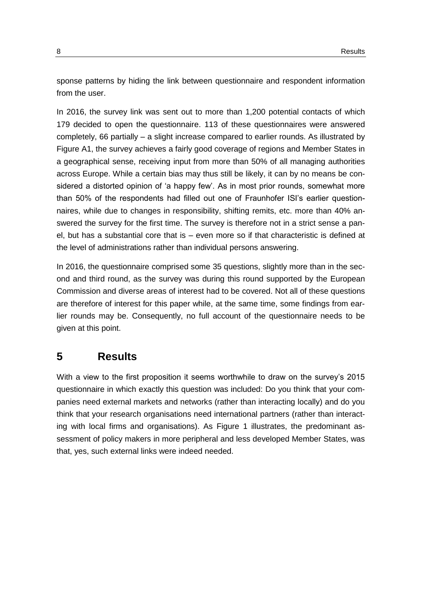sponse patterns by hiding the link between questionnaire and respondent information from the user.

In 2016, the survey link was sent out to more than 1,200 potential contacts of which 179 decided to open the questionnaire. 113 of these questionnaires were answered completely, 66 partially – a slight increase compared to earlier rounds. As illustrated by [Figure A1,](#page-25-1) the survey achieves a fairly good coverage of regions and Member States in a geographical sense, receiving input from more than 50% of all managing authorities across Europe. While a certain bias may thus still be likely, it can by no means be considered a distorted opinion of 'a happy few'. As in most prior rounds, somewhat more than 50% of the respondents had filled out one of Fraunhofer ISI's earlier questionnaires, while due to changes in responsibility, shifting remits, etc. more than 40% answered the survey for the first time. The survey is therefore not in a strict sense a panel, but has a substantial core that is – even more so if that characteristic is defined at the level of administrations rather than individual persons answering.

In 2016, the questionnaire comprised some 35 questions, slightly more than in the second and third round, as the survey was during this round supported by the European Commission and diverse areas of interest had to be covered. Not all of these questions are therefore of interest for this paper while, at the same time, some findings from earlier rounds may be. Consequently, no full account of the questionnaire needs to be given at this point.

### <span id="page-11-0"></span>**5 Results**

With a view to the first proposition it seems worthwhile to draw on the survey's 2015 questionnaire in which exactly this question was included: Do you think that your companies need external markets and networks (rather than interacting locally) and do you think that your research organisations need international partners (rather than interacting with local firms and organisations). As [Figure 1](#page-12-0) illustrates, the predominant assessment of policy makers in more peripheral and less developed Member States, was that, yes, such external links were indeed needed.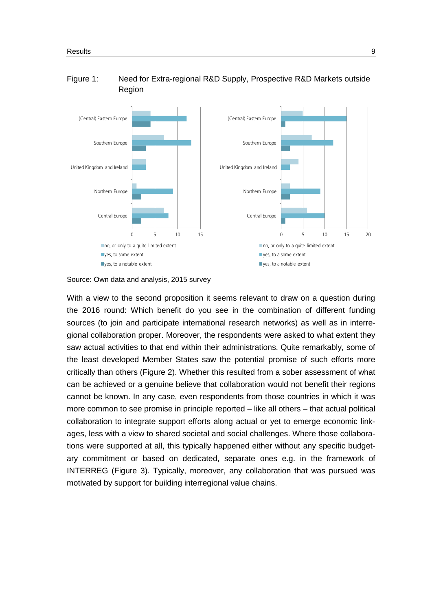

#### <span id="page-12-0"></span>Figure 1: Need for Extra-regional R&D Supply, Prospective R&D Markets outside Region

Source: Own data and analysis, 2015 survey

With a view to the second proposition it seems relevant to draw on a question during the 2016 round: Which benefit do you see in the combination of different funding sources (to join and participate international research networks) as well as in interregional collaboration proper. Moreover, the respondents were asked to what extent they saw actual activities to that end within their administrations. Quite remarkably, some of the least developed Member States saw the potential promise of such efforts more critically than others [\(Figure 2\)](#page-13-0). Whether this resulted from a sober assessment of what can be achieved or a genuine believe that collaboration would not benefit their regions cannot be known. In any case, even respondents from those countries in which it was more common to see promise in principle reported – like all others – that actual political collaboration to integrate support efforts along actual or yet to emerge economic linkages, less with a view to shared societal and social challenges. Where those collaborations were supported at all, this typically happened either without any specific budgetary commitment or based on dedicated, separate ones e.g. in the framework of INTERREG [\(Figure 3\)](#page-13-1). Typically, moreover, any collaboration that was pursued was motivated by support for building interregional value chains.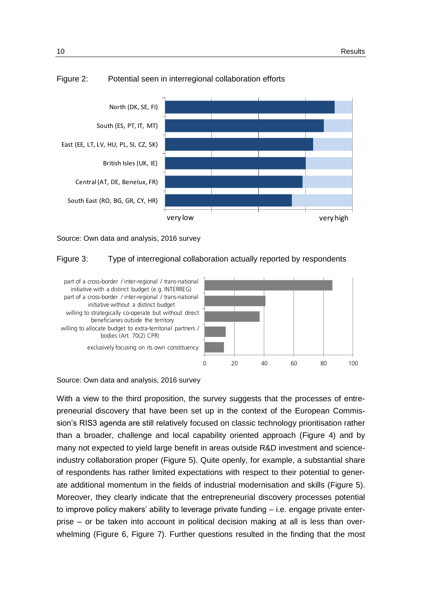

#### <span id="page-13-0"></span>Figure 2: Potential seen in interregional collaboration efforts

<span id="page-13-1"></span>Source: Own data and analysis, 2016 survey

#### Figure 3: Type of interregional collaboration actually reported by respondents



Source: Own data and analysis, 2016 survey

With a view to the third proposition, the survey suggests that the processes of entrepreneurial discovery that have been set up in the context of the European Commission's RIS3 agenda are still relatively focused on classic technology prioritisation rather than a broader, challenge and local capability oriented approach [\(Figure](#page-14-0) 4) and by many not expected to yield large benefit in areas outside R&D investment and scienceindustry collaboration proper [\(Figure 5\)](#page-14-1). Quite openly, for example, a substantial share of respondents has rather limited expectations with respect to their potential to generate additional momentum in the fields of industrial modernisation and skills [\(Figure 5\)](#page-14-1). Moreover, they clearly indicate that the entrepreneurial discovery processes potential to improve policy makers' ability to leverage private funding – i.e. engage private enterprise – or be taken into account in political decision making at all is less than overwhelming [\(Figure 6,](#page-15-0) [Figure 7\)](#page-15-1). Further questions resulted in the finding that the most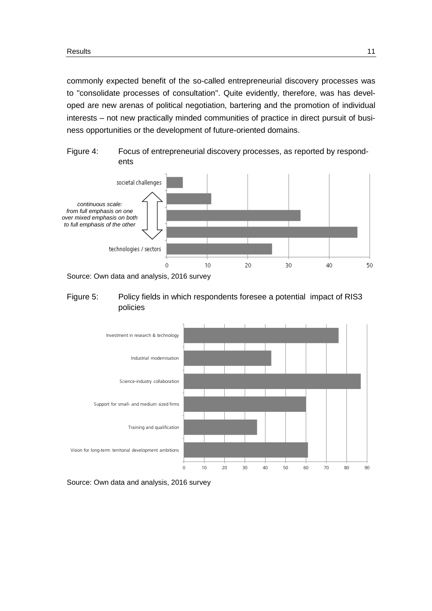commonly expected benefit of the so-called entrepreneurial discovery processes was to "consolidate processes of consultation". Quite evidently, therefore, was has developed are new arenas of political negotiation, bartering and the promotion of individual interests – not new practically minded communities of practice in direct pursuit of business opportunities or the development of future-oriented domains.

<span id="page-14-0"></span>



#### <span id="page-14-1"></span>Figure 5: Policy fields in which respondents foresee a potential impact of RIS3 policies



Source: Own data and analysis, 2016 survey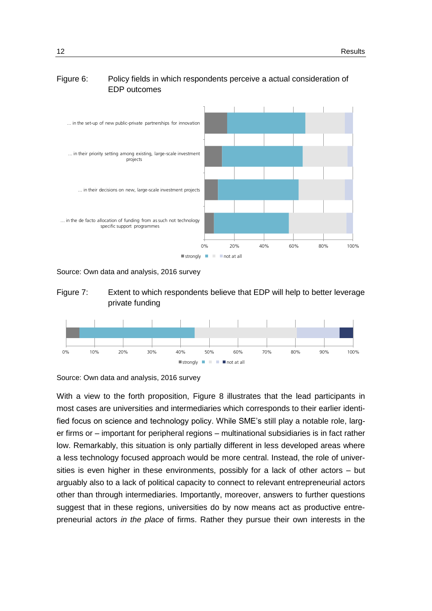### <span id="page-15-0"></span>Figure 6: Policy fields in which respondents perceive a actual consideration of EDP outcomes



<span id="page-15-1"></span>Source: Own data and analysis, 2016 survey





Source: Own data and analysis, 2016 survey

With a view to the forth proposition, [Figure 8](#page-16-0) illustrates that the lead participants in most cases are universities and intermediaries which corresponds to their earlier identified focus on science and technology policy. While SME's still play a notable role, larger firms or – important for peripheral regions – multinational subsidiaries is in fact rather low. Remarkably, this situation is only partially different in less developed areas where a less technology focused approach would be more central. Instead, the role of universities is even higher in these environments, possibly for a lack of other actors – but arguably also to a lack of political capacity to connect to relevant entrepreneurial actors other than through intermediaries. Importantly, moreover, answers to further questions suggest that in these regions, universities do by now means act as productive entrepreneurial actors *in the place* of firms. Rather they pursue their own interests in the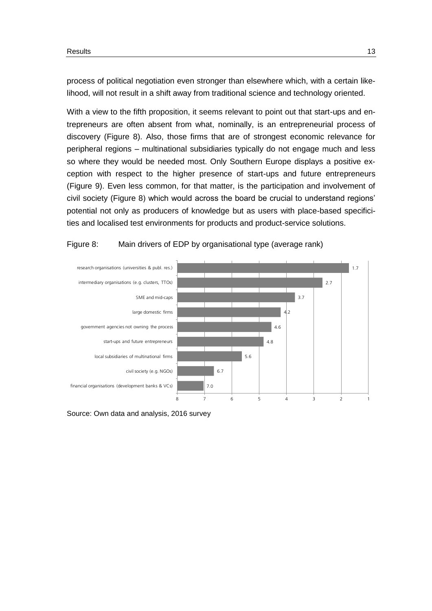process of political negotiation even stronger than elsewhere which, with a certain likelihood, will not result in a shift away from traditional science and technology oriented.

With a view to the fifth proposition, it seems relevant to point out that start-ups and entrepreneurs are often absent from what, nominally, is an entrepreneurial process of discovery [\(Figure 8\)](#page-16-0). Also, those firms that are of strongest economic relevance for peripheral regions – multinational subsidiaries typically do not engage much and less so where they would be needed most. Only Southern Europe displays a positive exception with respect to the higher presence of start-ups and future entrepreneurs [\(Figure 9\)](#page-17-0). Even less common, for that matter, is the participation and involvement of civil society [\(Figure 8\)](#page-16-0) which would across the board be crucial to understand regions' potential not only as producers of knowledge but as users with place-based specificities and localised test environments for products and product-service solutions.

#### <span id="page-16-0"></span>Figure 8: Main drivers of EDP by organisational type (average rank)



Source: Own data and analysis, 2016 survey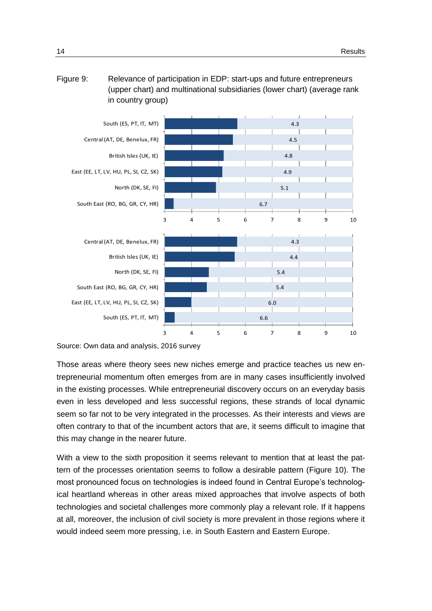<span id="page-17-0"></span>



Source: Own data and analysis, 2016 survey

Those areas where theory sees new niches emerge and practice teaches us new entrepreneurial momentum often emerges from are in many cases insufficiently involved in the existing processes. While entrepreneurial discovery occurs on an everyday basis even in less developed and less successful regions, these strands of local dynamic seem so far not to be very integrated in the processes. As their interests and views are often contrary to that of the incumbent actors that are, it seems difficult to imagine that this may change in the nearer future.

With a view to the sixth proposition it seems relevant to mention that at least the pattern of the processes orientation seems to follow a desirable pattern [\(Figure 10\)](#page-18-0). The most pronounced focus on technologies is indeed found in Central Europe's technological heartland whereas in other areas mixed approaches that involve aspects of both technologies and societal challenges more commonly play a relevant role. If it happens at all, moreover, the inclusion of civil society is more prevalent in those regions where it would indeed seem more pressing, i.e. in South Eastern and Eastern Europe.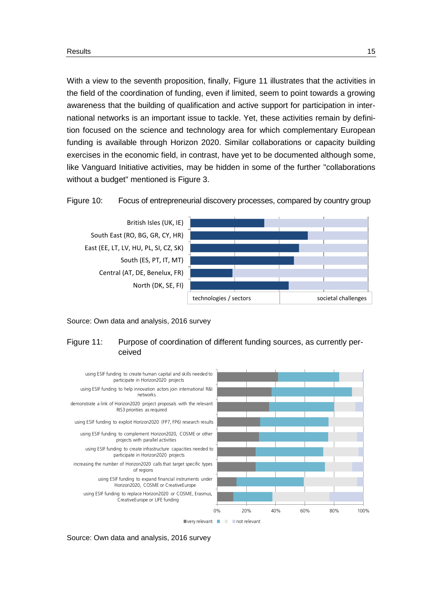With a view to the seventh proposition, finally, [Figure 11](#page-18-1) illustrates that the activities in the field of the coordination of funding, even if limited, seem to point towards a growing awareness that the building of qualification and active support for participation in international networks is an important issue to tackle. Yet, these activities remain by definition focused on the science and technology area for which complementary European funding is available through Horizon 2020. Similar collaborations or capacity building exercises in the economic field, in contrast, have yet to be documented although some, like Vanguard Initiative activities, may be hidden in some of the further "collaborations without a budget" mentioned is [Figure 3.](#page-13-1)

<span id="page-18-0"></span>



#### <span id="page-18-1"></span>Source: Own data and analysis, 2016 survey

#### Figure 11: Purpose of coordination of different funding sources, as currently perceived



Source: Own data and analysis, 2016 survey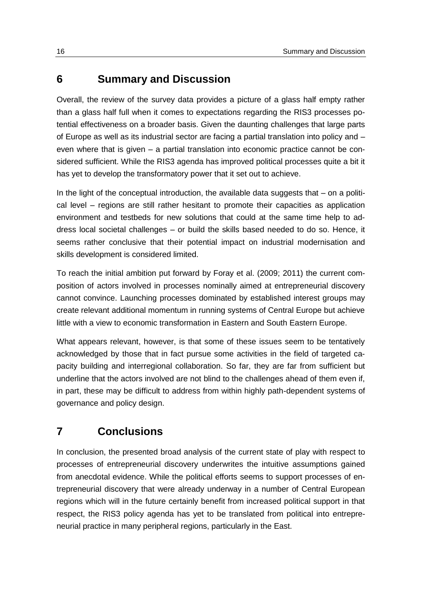### <span id="page-19-0"></span>**6 Summary and Discussion**

Overall, the review of the survey data provides a picture of a glass half empty rather than a glass half full when it comes to expectations regarding the RIS3 processes potential effectiveness on a broader basis. Given the daunting challenges that large parts of Europe as well as its industrial sector are facing a partial translation into policy and – even where that is given – a partial translation into economic practice cannot be considered sufficient. While the RIS3 agenda has improved political processes quite a bit it has yet to develop the transformatory power that it set out to achieve.

In the light of the conceptual introduction, the available data suggests that – on a political level – regions are still rather hesitant to promote their capacities as application environment and testbeds for new solutions that could at the same time help to address local societal challenges – or build the skills based needed to do so. Hence, it seems rather conclusive that their potential impact on industrial modernisation and skills development is considered limited.

To reach the initial ambition put forward by Foray et al. (2009; 2011) the current composition of actors involved in processes nominally aimed at entrepreneurial discovery cannot convince. Launching processes dominated by established interest groups may create relevant additional momentum in running systems of Central Europe but achieve little with a view to economic transformation in Eastern and South Eastern Europe.

What appears relevant, however, is that some of these issues seem to be tentatively acknowledged by those that in fact pursue some activities in the field of targeted capacity building and interregional collaboration. So far, they are far from sufficient but underline that the actors involved are not blind to the challenges ahead of them even if, in part, these may be difficult to address from within highly path-dependent systems of governance and policy design.

## <span id="page-19-1"></span>**7 Conclusions**

In conclusion, the presented broad analysis of the current state of play with respect to processes of entrepreneurial discovery underwrites the intuitive assumptions gained from anecdotal evidence. While the political efforts seems to support processes of entrepreneurial discovery that were already underway in a number of Central European regions which will in the future certainly benefit from increased political support in that respect, the RIS3 policy agenda has yet to be translated from political into entrepreneurial practice in many peripheral regions, particularly in the East.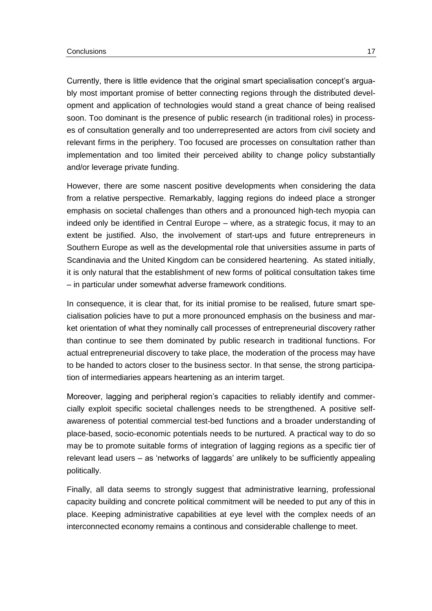Currently, there is little evidence that the original smart specialisation concept's arguably most important promise of better connecting regions through the distributed development and application of technologies would stand a great chance of being realised soon. Too dominant is the presence of public research (in traditional roles) in processes of consultation generally and too underrepresented are actors from civil society and relevant firms in the periphery. Too focused are processes on consultation rather than implementation and too limited their perceived ability to change policy substantially and/or leverage private funding.

However, there are some nascent positive developments when considering the data from a relative perspective. Remarkably, lagging regions do indeed place a stronger emphasis on societal challenges than others and a pronounced high-tech myopia can indeed only be identified in Central Europe – where, as a strategic focus, it may to an extent be justified. Also, the involvement of start-ups and future entrepreneurs in Southern Europe as well as the developmental role that universities assume in parts of Scandinavia and the United Kingdom can be considered heartening. As stated initially, it is only natural that the establishment of new forms of political consultation takes time – in particular under somewhat adverse framework conditions.

In consequence, it is clear that, for its initial promise to be realised, future smart specialisation policies have to put a more pronounced emphasis on the business and market orientation of what they nominally call processes of entrepreneurial discovery rather than continue to see them dominated by public research in traditional functions. For actual entrepreneurial discovery to take place, the moderation of the process may have to be handed to actors closer to the business sector. In that sense, the strong participation of intermediaries appears heartening as an interim target.

Moreover, lagging and peripheral region's capacities to reliably identify and commercially exploit specific societal challenges needs to be strengthened. A positive selfawareness of potential commercial test-bed functions and a broader understanding of place-based, socio-economic potentials needs to be nurtured. A practical way to do so may be to promote suitable forms of integration of lagging regions as a specific tier of relevant lead users – as 'networks of laggards' are unlikely to be sufficiently appealing politically.

Finally, all data seems to strongly suggest that administrative learning, professional capacity building and concrete political commitment will be needed to put any of this in place. Keeping administrative capabilities at eye level with the complex needs of an interconnected economy remains a continous and considerable challenge to meet.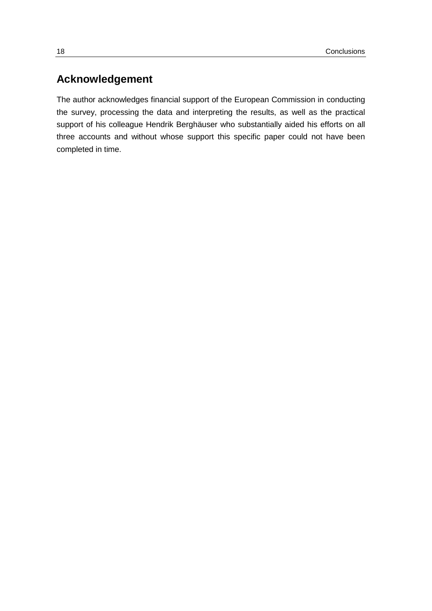# **Acknowledgement**

The author acknowledges financial support of the European Commission in conducting the survey, processing the data and interpreting the results, as well as the practical support of his colleague Hendrik Berghäuser who substantially aided his efforts on all three accounts and without whose support this specific paper could not have been completed in time.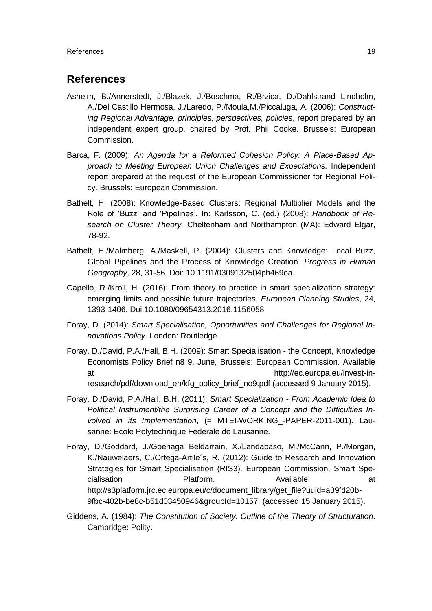### <span id="page-22-0"></span>**References**

- Asheim, B./Annerstedt, J./Blazek, J./Boschma, R./Brzica, D./Dahlstrand Lindholm, A./Del Castillo Hermosa, J./Laredo, P./Moula,M./Piccaluga, A. (2006): *Constructing Regional Advantage, principles, perspectives, policies*, report prepared by an independent expert group, chaired by Prof. Phil Cooke. Brussels: European Commission.
- Barca, F. (2009): *An Agenda for a Reformed Cohesion Policy: A Place-Based Approach to Meeting European Union Challenges and Expectations.* Independent report prepared at the request of the European Commissioner for Regional Policy. Brussels: European Commission.
- Bathelt, H. (2008): Knowledge-Based Clusters: Regional Multiplier Models and the Role of 'Buzz' and 'Pipelines'. In: Karlsson, C. (ed.) (2008): *Handbook of Research on Cluster Theory.* Cheltenham and Northampton (MA): Edward Elgar, 78-92.
- Bathelt, H./Malmberg, A./Maskell, P. (2004): Clusters and Knowledge: Local Buzz, Global Pipelines and the Process of Knowledge Creation. *Progress in Human Geography*, 28, 31-56. Doi: 10.1191/0309132504ph469oa.
- Capello, R./Kroll, H. (2016): From theory to practice in smart specialization strategy: emerging limits and possible future trajectories, *European Planning Studies*, 24, 1393-1406. Doi:10.1080/09654313.2016.1156058
- Foray, D. (2014): *Smart Specialisation, Opportunities and Challenges for Regional Innovations Policy.* London: Routledge.
- Foray, D./David, P.A./Hall, B.H. (2009): Smart Specialisation the Concept, Knowledge Economists Policy Brief n8 9, June, Brussels: European Commission. Available at http://ec.europa.eu/invest-inresearch/pdf/download\_en/kfg\_policy\_brief\_no9.pdf (accessed 9 January 2015).
- Foray, D./David, P.A./Hall, B.H. (2011): *Smart Specialization - From Academic Idea to Political Instrument/the Surprising Career of a Concept and the Difficulties Involved in its Implementation*, (= MTEI-WORKING\_-PAPER-2011-001). Lausanne: Ecole Polytechnique Federale de Lausanne.
- Foray, D./Goddard, J./Goenaga Beldarrain, X./Landabaso, M./McCann, P./Morgan, K./Nauwelaers, C./Ortega-Artile´s, R. (2012): Guide to Research and Innovation Strategies for Smart Specialisation (RIS3). European Commission, Smart Specialisation Platform. Available at [http://s3platform.jrc.ec.europa.eu/c/document\\_library/get\\_file?uuid=a39fd20b-](http://s3platform.jrc.ec.europa.eu/c/document_library/get_file?uuid=a39fd20b-9fbc-402b-be8c-b51d03450946&groupId=10157)[9fbc-402b-be8c-b51d03450946&groupId=10157](http://s3platform.jrc.ec.europa.eu/c/document_library/get_file?uuid=a39fd20b-9fbc-402b-be8c-b51d03450946&groupId=10157) (accessed 15 January 2015).
- Giddens, A. (1984): *The Constitution of Society. Outline of the Theory of Structuration*. Cambridge: Polity.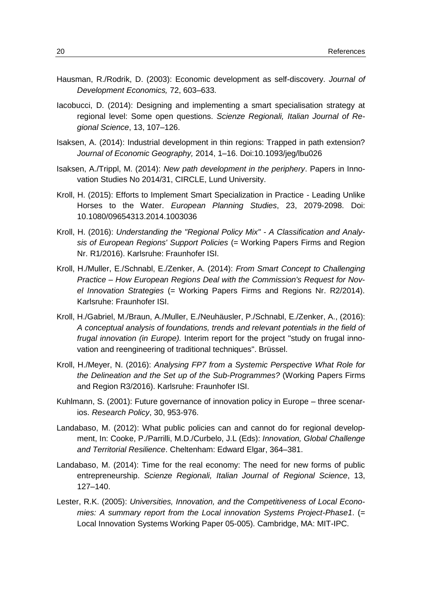- Hausman, R./Rodrik, D. (2003): Economic development as self-discovery. *Journal of Development Economics,* 72, 603–633.
- Iacobucci, D. (2014): Designing and implementing a smart specialisation strategy at regional level: Some open questions. *Scienze Regionali, Italian Journal of Regional Science*, 13, 107–126.
- Isaksen, A. (2014): Industrial development in thin regions: Trapped in path extension? *Journal of Economic Geography,* 2014, 1–16. Doi:10.1093/jeg/lbu026
- Isaksen, A./Trippl, M. (2014): *New path development in the periphery*. Papers in Innovation Studies No 2014/31, CIRCLE, Lund University.
- Kroll, H. (2015): Efforts to Implement Smart Specialization in Practice Leading Unlike Horses to the Water. *European Planning Studies*, 23, 2079-2098. Doi: 10.1080/09654313.2014.1003036
- Kroll, H. (2016): *Understanding the "Regional Policy Mix" - A Classification and Analysis of European Regions' Support Policies* (= Working Papers Firms and Region Nr. R1/2016). Karlsruhe: Fraunhofer ISI.
- Kroll, H./Muller, E./Schnabl, E./Zenker, A. (2014): *From Smart Concept to Challenging Practice – How European Regions Deal with the Commission's Request for Novel Innovation Strategies* (= Working Papers Firms and Regions Nr. R2/2014). Karlsruhe: Fraunhofer ISI.
- Kroll, H./Gabriel, M./Braun, A./Muller, E./Neuhäusler, P./Schnabl, E./Zenker, A., (2016): *A conceptual analysis of foundations, trends and relevant potentials in the field of frugal innovation (in Europe).* Interim report for the project "study on frugal innovation and reengineering of traditional techniques". Brüssel.
- Kroll, H./Meyer, N. (2016): *Analysing FP7 from a Systemic Perspective What Role for the Delineation and the Set up of the Sub-Programmes?* (Working Papers Firms and Region R3/2016). Karlsruhe: Fraunhofer ISI.
- Kuhlmann, S. (2001): Future governance of innovation policy in Europe three scenarios. *Research Policy*, 30, 953-976.
- Landabaso, M. (2012): What public policies can and cannot do for regional development, In: Cooke, P./Parrilli, M.D./Curbelo, J.L (Eds): *Innovation, Global Challenge and Territorial Resilience*. Cheltenham: Edward Elgar, 364–381.
- Landabaso, M. (2014): Time for the real economy: The need for new forms of public entrepreneurship. *Scienze Regionali, Italian Journal of Regional Science*, 13, 127–140.
- Lester, R.K. (2005): *Universities, Innovation, and the Competitiveness of Local Economies: A summary report from the Local innovation Systems Project-Phase1*. (= Local Innovation Systems Working Paper 05-005). Cambridge, MA: MIT-IPC.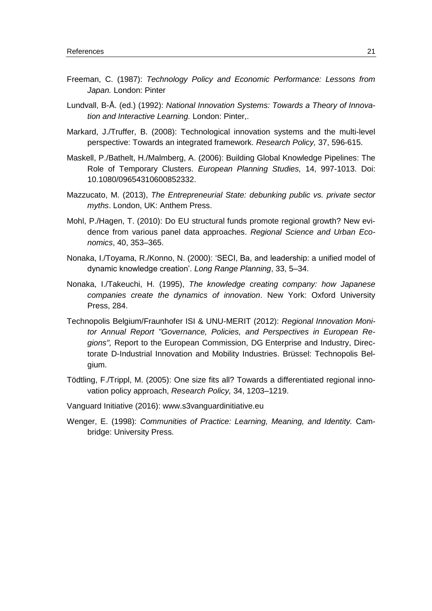- Freeman, C. (1987): *Technology Policy and Economic Performance: Lessons from Japan.* London: Pinter
- Lundvall, B-Å. (ed.) (1992): *National Innovation Systems: Towards a Theory of Innovation and Interactive Learning.* London: Pinter,.
- Markard, J./Truffer, B. (2008): Technological innovation systems and the multi-level perspective: Towards an integrated framework. *Research Policy,* 37, 596-615.
- Maskell, P./Bathelt, H./Malmberg, A. (2006): Building Global Knowledge Pipelines: The Role of Temporary Clusters. *European Planning Studies,* 14, 997-1013. Doi: 10.1080/09654310600852332.
- Mazzucato, M. (2013), *The Entrepreneurial State: debunking public vs. private sector myths*. London, UK: Anthem Press.
- Mohl, P./Hagen, T. (2010): Do EU structural funds promote regional growth? New evidence from various panel data approaches. *Regional Science and Urban Economics*, 40, 353–365.
- Nonaka, I./Toyama, R./Konno, N. (2000): 'SECI, Ba, and leadership: a unified model of dynamic knowledge creation'. *Long Range Planning*, 33, 5–34.
- Nonaka, I./Takeuchi, H. (1995), *The knowledge creating company: how Japanese companies create the dynamics of innovation*. New York: Oxford University Press, 284.
- Technopolis Belgium/Fraunhofer ISI & UNU-MERIT (2012): *Regional Innovation Monitor Annual Report "Governance, Policies, and Perspectives in European Regions",* Report to the European Commission, DG Enterprise and Industry, Directorate D-Industrial Innovation and Mobility Industries. Brüssel: Technopolis Belgium.
- Tödtling, F./Trippl, M. (2005): One size fits all? Towards a differentiated regional innovation policy approach, *Research Policy,* 34, 1203–1219.
- Vanguard Initiative (2016): [www.s3vanguardinitiative.eu](http://www.s3vanguardinitiative.eu/)
- Wenger, E. (1998): *Communities of Practice: Learning, Meaning, and Identity.* Cambridge: University Press.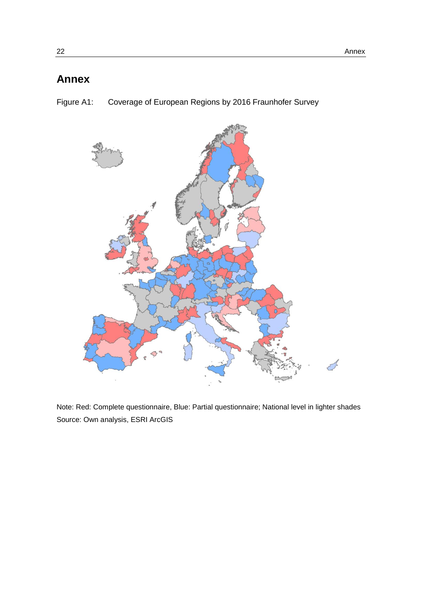# <span id="page-25-0"></span>**Annex**

<span id="page-25-1"></span>Figure A1: Coverage of European Regions by 2016 Fraunhofer Survey



Note: Red: Complete questionnaire, Blue: Partial questionnaire; National level in lighter shades Source: Own analysis, ESRI ArcGIS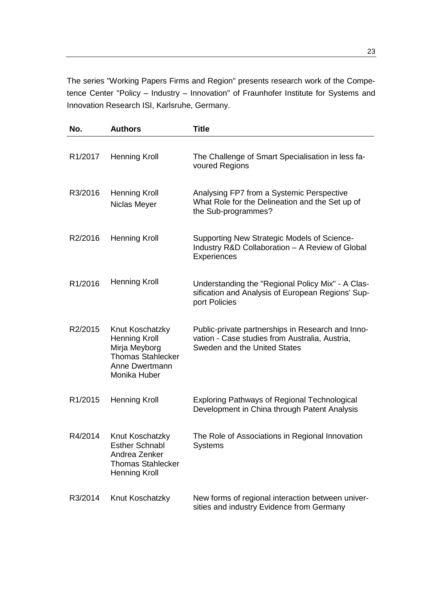The series "Working Papers Firms and Region" presents research work of the Competence Center "Policy – Industry – Innovation" of Fraunhofer Institute for Systems and Innovation Research ISI, Karlsruhe, Germany.

| No.                  | <b>Authors</b>                                                                                                         | <b>Title</b>                                                                                                                        |
|----------------------|------------------------------------------------------------------------------------------------------------------------|-------------------------------------------------------------------------------------------------------------------------------------|
| R <sub>1</sub> /2017 | <b>Henning Kroll</b>                                                                                                   | The Challenge of Smart Specialisation in less fa-<br>voured Regions                                                                 |
| R3/2016              | <b>Henning Kroll</b><br>Niclas Meyer                                                                                   | Analysing FP7 from a Systemic Perspective<br>What Role for the Delineation and the Set up of<br>the Sub-programmes?                 |
| R2/2016              | <b>Henning Kroll</b>                                                                                                   | Supporting New Strategic Models of Science-<br>Industry R&D Collaboration - A Review of Global<br>Experiences                       |
| R1/2016              | <b>Henning Kroll</b>                                                                                                   | Understanding the "Regional Policy Mix" - A Clas-<br>sification and Analysis of European Regions' Sup-<br>port Policies             |
| R2/2015              | Knut Koschatzky<br><b>Henning Kroll</b><br>Mirja Meyborg<br><b>Thomas Stahlecker</b><br>Anne Dwertmann<br>Monika Huber | Public-private partnerships in Research and Inno-<br>vation - Case studies from Australia, Austria,<br>Sweden and the United States |
| R1/2015              | <b>Henning Kroll</b>                                                                                                   | <b>Exploring Pathways of Regional Technological</b><br>Development in China through Patent Analysis                                 |
| R4/2014              | Knut Koschatzky<br><b>Esther Schnabl</b><br>Andrea Zenker<br><b>Thomas Stahlecker</b><br><b>Henning Kroll</b>          | The Role of Associations in Regional Innovation<br><b>Systems</b>                                                                   |
| R3/2014              | Knut Koschatzky                                                                                                        | New forms of regional interaction between univer-<br>sities and industry Evidence from Germany                                      |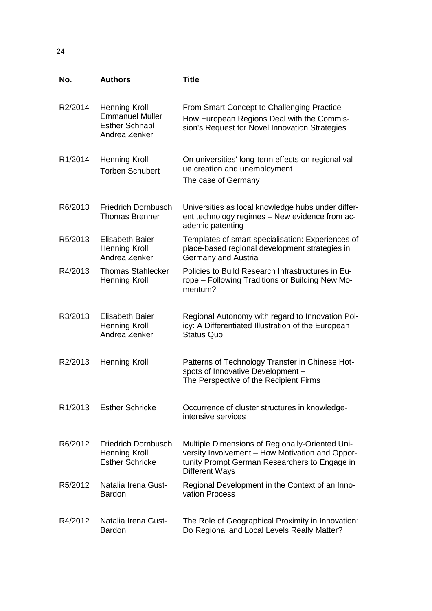24

| No.                  | <b>Authors</b>                                                                           | Title                                                                                                                                                                        |
|----------------------|------------------------------------------------------------------------------------------|------------------------------------------------------------------------------------------------------------------------------------------------------------------------------|
| R2/2014              | <b>Henning Kroll</b><br><b>Emmanuel Muller</b><br><b>Esther Schnabl</b><br>Andrea Zenker | From Smart Concept to Challenging Practice -<br>How European Regions Deal with the Commis-<br>sion's Request for Novel Innovation Strategies                                 |
| R <sub>1</sub> /2014 | <b>Henning Kroll</b><br><b>Torben Schubert</b>                                           | On universities' long-term effects on regional val-<br>ue creation and unemployment<br>The case of Germany                                                                   |
| R6/2013              | <b>Friedrich Dornbusch</b><br><b>Thomas Brenner</b>                                      | Universities as local knowledge hubs under differ-<br>ent technology regimes - New evidence from ac-<br>ademic patenting                                                     |
| R <sub>5</sub> /2013 | Elisabeth Baier<br><b>Henning Kroll</b><br>Andrea Zenker                                 | Templates of smart specialisation: Experiences of<br>place-based regional development strategies in<br>Germany and Austria                                                   |
| R4/2013              | <b>Thomas Stahlecker</b><br><b>Henning Kroll</b>                                         | Policies to Build Research Infrastructures in Eu-<br>rope – Following Traditions or Building New Mo-<br>mentum?                                                              |
| R3/2013              | Elisabeth Baier<br><b>Henning Kroll</b><br>Andrea Zenker                                 | Regional Autonomy with regard to Innovation Pol-<br>icy: A Differentiated Illustration of the European<br><b>Status Quo</b>                                                  |
| R2/2013              | Henning Kroll                                                                            | Patterns of Technology Transfer in Chinese Hot-<br>spots of Innovative Development -<br>The Perspective of the Recipient Firms                                               |
| R <sub>1</sub> /2013 | <b>Esther Schricke</b>                                                                   | Occurrence of cluster structures in knowledge-<br>intensive services                                                                                                         |
| R6/2012              | <b>Friedrich Dornbusch</b><br><b>Henning Kroll</b><br><b>Esther Schricke</b>             | Multiple Dimensions of Regionally-Oriented Uni-<br>versity Involvement - How Motivation and Oppor-<br>tunity Prompt German Researchers to Engage in<br><b>Different Ways</b> |
| R5/2012              | Natalia Irena Gust-<br><b>Bardon</b>                                                     | Regional Development in the Context of an Inno-<br>vation Process                                                                                                            |
| R4/2012              | Natalia Irena Gust-<br><b>Bardon</b>                                                     | The Role of Geographical Proximity in Innovation:<br>Do Regional and Local Levels Really Matter?                                                                             |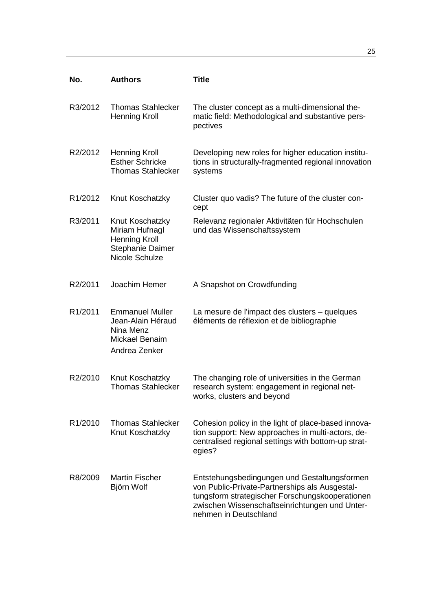| No.                  | <b>Authors</b>                                                                                  | <b>Title</b>                                                                                                                                                                                                                 |
|----------------------|-------------------------------------------------------------------------------------------------|------------------------------------------------------------------------------------------------------------------------------------------------------------------------------------------------------------------------------|
| R3/2012              | <b>Thomas Stahlecker</b><br><b>Henning Kroll</b>                                                | The cluster concept as a multi-dimensional the-<br>matic field: Methodological and substantive pers-<br>pectives                                                                                                             |
| R2/2012              | <b>Henning Kroll</b><br><b>Esther Schricke</b><br><b>Thomas Stahlecker</b>                      | Developing new roles for higher education institu-<br>tions in structurally-fragmented regional innovation<br>systems                                                                                                        |
| R <sub>1</sub> /2012 | Knut Koschatzky                                                                                 | Cluster quo vadis? The future of the cluster con-<br>cept                                                                                                                                                                    |
| R3/2011              | Knut Koschatzky<br>Miriam Hufnagl<br><b>Henning Kroll</b><br>Stephanie Daimer<br>Nicole Schulze | Relevanz regionaler Aktivitäten für Hochschulen<br>und das Wissenschaftssystem                                                                                                                                               |
| R2/2011              | Joachim Hemer                                                                                   | A Snapshot on Crowdfunding                                                                                                                                                                                                   |
| R <sub>1</sub> /2011 | <b>Emmanuel Muller</b><br>Jean-Alain Héraud<br>Nina Menz<br>Mickael Benaim<br>Andrea Zenker     | La mesure de l'impact des clusters – quelques<br>éléments de réflexion et de bibliographie                                                                                                                                   |
| R2/2010              | Knut Koschatzky<br><b>Thomas Stahlecker</b>                                                     | The changing role of universities in the German<br>research system: engagement in regional net-<br>works, clusters and beyond                                                                                                |
| R <sub>1</sub> /2010 | <b>Thomas Stahlecker</b><br>Knut Koschatzky                                                     | Cohesion policy in the light of place-based innova-<br>tion support: New approaches in multi-actors, de-<br>centralised regional settings with bottom-up strat-<br>egies?                                                    |
| R8/2009              | <b>Martin Fischer</b><br>Björn Wolf                                                             | Entstehungsbedingungen und Gestaltungsformen<br>von Public-Private-Partnerships als Ausgestal-<br>tungsform strategischer Forschungskooperationen<br>zwischen Wissenschaftseinrichtungen und Unter-<br>nehmen in Deutschland |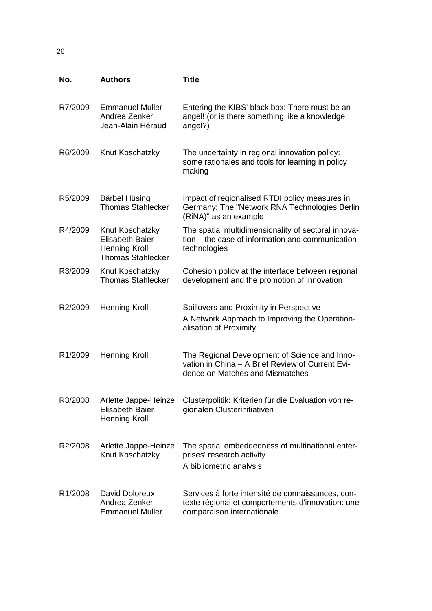26

| No.                  | <b>Authors</b>                                                                                | <b>Title</b>                                                                                                                           |
|----------------------|-----------------------------------------------------------------------------------------------|----------------------------------------------------------------------------------------------------------------------------------------|
|                      |                                                                                               |                                                                                                                                        |
| R7/2009              | <b>Emmanuel Muller</b><br>Andrea Zenker<br>Jean-Alain Héraud                                  | Entering the KIBS' black box: There must be an<br>angel! (or is there something like a knowledge<br>angel?)                            |
| R6/2009              | Knut Koschatzky                                                                               | The uncertainty in regional innovation policy:<br>some rationales and tools for learning in policy<br>making                           |
| R <sub>5</sub> /2009 | Bärbel Hüsing<br><b>Thomas Stahlecker</b>                                                     | Impact of regionalised RTDI policy measures in<br>Germany: The "Network RNA Technologies Berlin<br>(RiNA)" as an example               |
| R4/2009              | Knut Koschatzky<br><b>Elisabeth Baier</b><br><b>Henning Kroll</b><br><b>Thomas Stahlecker</b> | The spatial multidimensionality of sectoral innova-<br>tion - the case of information and communication<br>technologies                |
| R3/2009              | Knut Koschatzky<br><b>Thomas Stahlecker</b>                                                   | Cohesion policy at the interface between regional<br>development and the promotion of innovation                                       |
| R2/2009              | <b>Henning Kroll</b>                                                                          | Spillovers and Proximity in Perspective<br>A Network Approach to Improving the Operation-<br>alisation of Proximity                    |
| R <sub>1</sub> /2009 | <b>Henning Kroll</b>                                                                          | The Regional Development of Science and Inno-<br>vation in China - A Brief Review of Current Evi-<br>dence on Matches and Mismatches - |
| R3/2008              | Arlette Jappe-Heinze<br><b>Elisabeth Baier</b><br><b>Henning Kroll</b>                        | Clusterpolitik: Kriterien für die Evaluation von re-<br>gionalen Clusterinitiativen                                                    |
| R2/2008              | Arlette Jappe-Heinze<br>Knut Koschatzky                                                       | The spatial embeddedness of multinational enter-<br>prises' research activity<br>A bibliometric analysis                               |
| R <sub>1</sub> /2008 | David Doloreux<br>Andrea Zenker<br><b>Emmanuel Muller</b>                                     | Services à forte intensité de connaissances, con-<br>texte régional et comportements d'innovation: une<br>comparaison internationale   |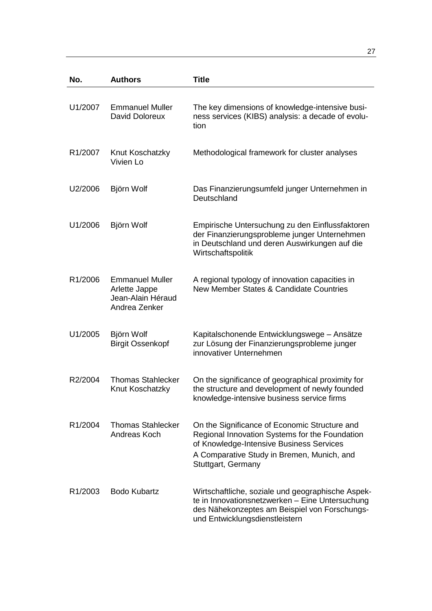| No.                  | <b>Authors</b>                                                                | <b>Title</b>                                                                                                                                                                                                    |
|----------------------|-------------------------------------------------------------------------------|-----------------------------------------------------------------------------------------------------------------------------------------------------------------------------------------------------------------|
| U1/2007              | <b>Emmanuel Muller</b><br>David Doloreux                                      | The key dimensions of knowledge-intensive busi-<br>ness services (KIBS) analysis: a decade of evolu-<br>tion                                                                                                    |
| R <sub>1</sub> /2007 | Knut Koschatzky<br>Vivien Lo                                                  | Methodological framework for cluster analyses                                                                                                                                                                   |
| U2/2006              | Björn Wolf                                                                    | Das Finanzierungsumfeld junger Unternehmen in<br>Deutschland                                                                                                                                                    |
| U1/2006              | Björn Wolf                                                                    | Empirische Untersuchung zu den Einflussfaktoren<br>der Finanzierungsprobleme junger Unternehmen<br>in Deutschland und deren Auswirkungen auf die<br>Wirtschaftspolitik                                          |
| R1/2006              | <b>Emmanuel Muller</b><br>Arlette Jappe<br>Jean-Alain Héraud<br>Andrea Zenker | A regional typology of innovation capacities in<br>New Member States & Candidate Countries                                                                                                                      |
| U1/2005              | Björn Wolf<br><b>Birgit Ossenkopf</b>                                         | Kapitalschonende Entwicklungswege - Ansätze<br>zur Lösung der Finanzierungsprobleme junger<br>innovativer Unternehmen                                                                                           |
| R2/2004              | Thomas Stahlecker<br>Knut Koschatzky                                          | On the significance of geographical proximity for<br>the structure and development of newly founded<br>knowledge-intensive business service firms                                                               |
| R <sub>1</sub> /2004 | <b>Thomas Stahlecker</b><br>Andreas Koch                                      | On the Significance of Economic Structure and<br>Regional Innovation Systems for the Foundation<br>of Knowledge-Intensive Business Services<br>A Comparative Study in Bremen, Munich, and<br>Stuttgart, Germany |
| R <sub>1</sub> /2003 | <b>Bodo Kubartz</b>                                                           | Wirtschaftliche, soziale und geographische Aspek-<br>te in Innovationsnetzwerken - Eine Untersuchung<br>des Nähekonzeptes am Beispiel von Forschungs-<br>und Entwicklungsdienstleistern                         |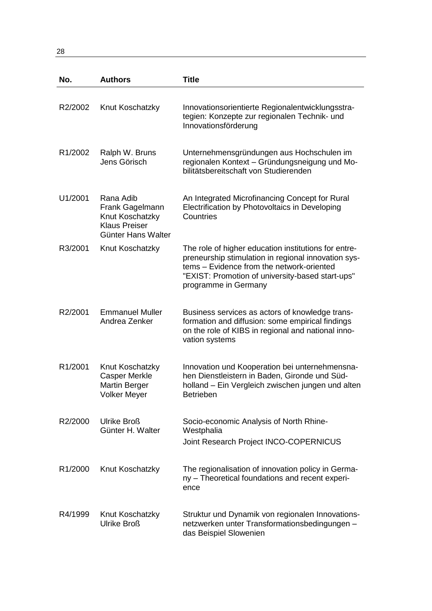28

| No.                  | <b>Authors</b>                                                                                | <b>Title</b>                                                                                                                                                                                                                         |
|----------------------|-----------------------------------------------------------------------------------------------|--------------------------------------------------------------------------------------------------------------------------------------------------------------------------------------------------------------------------------------|
| R2/2002              | Knut Koschatzky                                                                               | Innovationsorientierte Regionalentwicklungsstra-<br>tegien: Konzepte zur regionalen Technik- und<br>Innovationsförderung                                                                                                             |
| R <sub>1</sub> /2002 | Ralph W. Bruns<br>Jens Görisch                                                                | Unternehmensgründungen aus Hochschulen im<br>regionalen Kontext - Gründungsneigung und Mo-<br>bilitätsbereitschaft von Studierenden                                                                                                  |
| U1/2001              | Rana Adib<br>Frank Gagelmann<br>Knut Koschatzky<br><b>Klaus Preiser</b><br>Günter Hans Walter | An Integrated Microfinancing Concept for Rural<br>Electrification by Photovoltaics in Developing<br>Countries                                                                                                                        |
| R3/2001              | Knut Koschatzky                                                                               | The role of higher education institutions for entre-<br>preneurship stimulation in regional innovation sys-<br>tems - Evidence from the network-oriented<br>"EXIST: Promotion of university-based start-ups"<br>programme in Germany |
| R2/2001              | <b>Emmanuel Muller</b><br>Andrea Zenker                                                       | Business services as actors of knowledge trans-<br>formation and diffusion: some empirical findings<br>on the role of KIBS in regional and national inno-<br>vation systems                                                          |
| R1/2001              | Knut Koschatzky<br><b>Casper Merkle</b><br><b>Martin Berger</b><br><b>Volker Meyer</b>        | Innovation und Kooperation bei unternehmensna-<br>hen Dienstleistern in Baden, Gironde und Süd-<br>holland - Ein Vergleich zwischen jungen und alten<br><b>Betrieben</b>                                                             |
| R2/2000              | <b>Ulrike Broß</b><br>Günter H. Walter                                                        | Socio-economic Analysis of North Rhine-<br>Westphalia<br>Joint Research Project INCO-COPERNICUS                                                                                                                                      |
| R <sub>1</sub> /2000 | Knut Koschatzky                                                                               | The regionalisation of innovation policy in Germa-<br>ny - Theoretical foundations and recent experi-<br>ence                                                                                                                        |
| R4/1999              | Knut Koschatzky<br><b>Ulrike Broß</b>                                                         | Struktur und Dynamik von regionalen Innovations-<br>netzwerken unter Transformationsbedingungen -<br>das Beispiel Slowenien                                                                                                          |